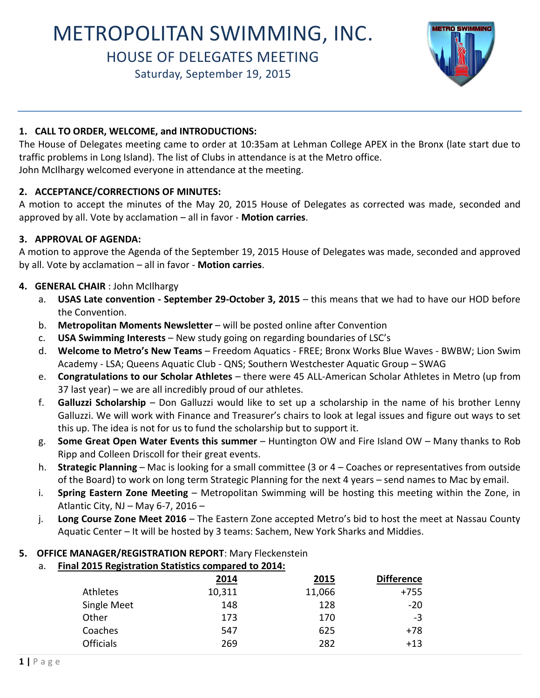# METROPOLITAN SWIMMING, INC.

# HOUSE OF DELEGATES MEETING

Saturday, September 19, 2015



## **1. CALL TO ORDER, WELCOME, and INTRODUCTIONS:**

The House of Delegates meeting came to order at 10:35am at Lehman College APEX in the Bronx (late start due to traffic problems in Long Island). The list of Clubs in attendance is at the Metro office. John McIlhargy welcomed everyone in attendance at the meeting.

## **2. ACCEPTANCE/CORRECTIONS OF MINUTES:**

A motion to accept the minutes of the May 20, 2015 House of Delegates as corrected was made, seconded and approved by all. Vote by acclamation – all in favor - **Motion carries**.

## **3. APPROVAL OF AGENDA:**

A motion to approve the Agenda of the September 19, 2015 House of Delegates was made, seconded and approved by all. Vote by acclamation – all in favor - **Motion carries**.

## **4. GENERAL CHAIR** : John McIlhargy

- a. **USAS Late convention September 29-October 3, 2015 this means that we had to have our HOD before** the Convention.
- b. **Metropolitan Moments Newsletter**  will be posted online after Convention
- c. **USA Swimming Interests**  New study going on regarding boundaries of LSC's
- d. **Welcome to Metro's New Teams**  Freedom Aquatics FREE; Bronx Works Blue Waves BWBW; Lion Swim Academy - LSA; Queens Aquatic Club - QNS; Southern Westchester Aquatic Group – SWAG
- e. **Congratulations to our Scholar Athletes**  there were 45 ALL-American Scholar Athletes in Metro (up from 37 last year) – we are all incredibly proud of our athletes.
- f. **Galluzzi Scholarship**  Don Galluzzi would like to set up a scholarship in the name of his brother Lenny Galluzzi. We will work with Finance and Treasurer's chairs to look at legal issues and figure out ways to set this up. The idea is not for us to fund the scholarship but to support it.
- g. **Some Great Open Water Events this summer** Huntington OW and Fire Island OW Many thanks to Rob Ripp and Colleen Driscoll for their great events.
- h. **Strategic Planning**  Mac is looking for a small committee (3 or 4 Coaches or representatives from outside of the Board) to work on long term Strategic Planning for the next 4 years – send names to Mac by email.
- i. **Spring Eastern Zone Meeting**  Metropolitan Swimming will be hosting this meeting within the Zone, in Atlantic City, NJ – May 6-7, 2016 –
- j. **Long Course Zone Meet 2016**  The Eastern Zone accepted Metro's bid to host the meet at Nassau County Aquatic Center – It will be hosted by 3 teams: Sachem, New York Sharks and Middies.

# **5. OFFICE MANAGER/REGISTRATION REPORT**: Mary Fleckenstein

a. **Final 2015 Registration Statistics compared to 2014:**

|                  | 2014   | 2015   | <b>Difference</b> |
|------------------|--------|--------|-------------------|
| Athletes         | 10,311 | 11,066 | $+755$            |
| Single Meet      | 148    | 128    | $-20$             |
| Other            | 173    | 170    | -3                |
| Coaches          | 547    | 625    | +78               |
| <b>Officials</b> | 269    | 282    | $+13$             |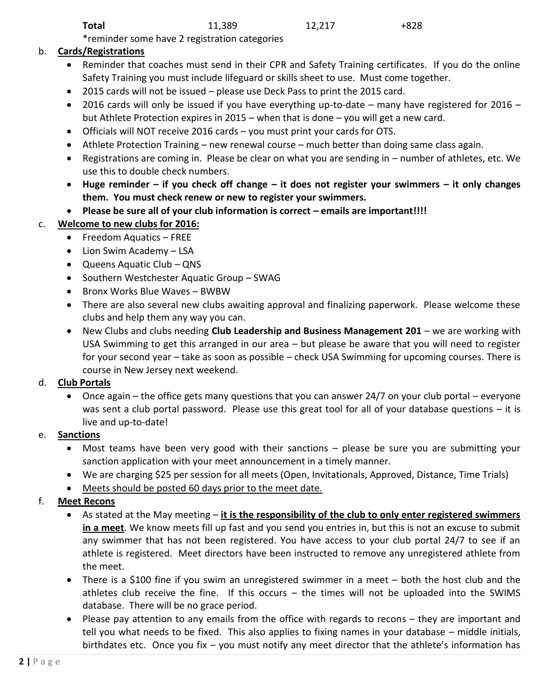\*reminder some have 2 registration categories

# b. **Cards/Registrations**

- Reminder that coaches must send in their CPR and Safety Training certificates. If you do the online Safety Training you must include lifeguard or skills sheet to use. Must come together.
- 2015 cards will not be issued please use Deck Pass to print the 2015 card.
- 2016 cards will only be issued if you have everything up-to-date many have registered for 2016 but Athlete Protection expires in 2015 – when that is done – you will get a new card.
- Officials will NOT receive 2016 cards you must print your cards for OTS.
- Athlete Protection Training new renewal course much better than doing same class again.
- Registrations are coming in. Please be clear on what you are sending in number of athletes, etc. We use this to double check numbers.
- **Huge reminder – if you check off change – it does not register your swimmers – it only changes them. You must check renew or new to register your swimmers.**
- **•** Please be sure all of your club information is correct emails are important!!!!

# c. **Welcome to new clubs for 2016:**

- Freedom Aquatics FREE
- Lion Swim Academy LSA
- Queens Aquatic Club QNS
- Southern Westchester Aquatic Group SWAG
- Bronx Works Blue Waves BWBW
- There are also several new clubs awaiting approval and finalizing paperwork. Please welcome these clubs and help them any way you can.
- New Clubs and clubs needing **Club Leadership and Business Management 201** we are working with USA Swimming to get this arranged in our area – but please be aware that you will need to register for your second year – take as soon as possible – check USA Swimming for upcoming courses. There is course in New Jersey next weekend.

# d. **Club Portals**

 Once again – the office gets many questions that you can answer 24/7 on your club portal – everyone was sent a club portal password. Please use this great tool for all of your database questions – it is live and up-to-date!

# e. **Sanctions**

- Most teams have been very good with their sanctions please be sure you are submitting your sanction application with your meet announcement in a timely manner.
- We are charging \$25 per session for all meets (Open, Invitationals, Approved, Distance, Time Trials)
- Meets should be posted 60 days prior to the meet date.

# f. **Meet Recons**

- As stated at the May meeting **it is the responsibility of the club to only enter registered swimmers in a meet**. We know meets fill up fast and you send you entries in, but this is not an excuse to submit any swimmer that has not been registered. You have access to your club portal 24/7 to see if an athlete is registered. Meet directors have been instructed to remove any unregistered athlete from the meet.
- There is a \$100 fine if you swim an unregistered swimmer in a meet both the host club and the athletes club receive the fine. If this occurs – the times will not be uploaded into the SWIMS database. There will be no grace period.
- Please pay attention to any emails from the office with regards to recons they are important and tell you what needs to be fixed. This also applies to fixing names in your database – middle initials, birthdates etc. Once you fix – you must notify any meet director that the athlete's information has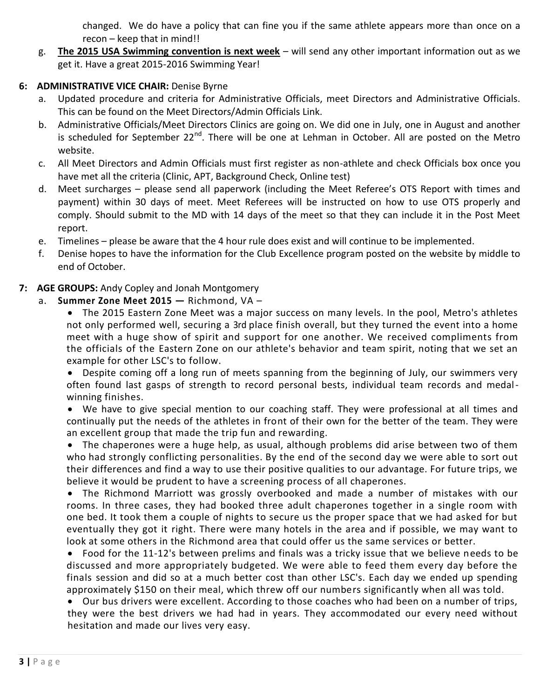changed. We do have a policy that can fine you if the same athlete appears more than once on a recon – keep that in mind!!

g. **The 2015 USA Swimming convention is next week** – will send any other important information out as we get it. Have a great 2015-2016 Swimming Year!

# **6: ADMINISTRATIVE VICE CHAIR:** Denise Byrne

- a. Updated procedure and criteria for Administrative Officials, meet Directors and Administrative Officials. This can be found on the Meet Directors/Admin Officials Link.
- b. Administrative Officials/Meet Directors Clinics are going on. We did one in July, one in August and another is scheduled for September 22<sup>nd</sup>. There will be one at Lehman in October. All are posted on the Metro website.
- c. All Meet Directors and Admin Officials must first register as non-athlete and check Officials box once you have met all the criteria (Clinic, APT, Background Check, Online test)
- d. Meet surcharges please send all paperwork (including the Meet Referee's OTS Report with times and payment) within 30 days of meet. Meet Referees will be instructed on how to use OTS properly and comply. Should submit to the MD with 14 days of the meet so that they can include it in the Post Meet report.
- e. Timelines please be aware that the 4 hour rule does exist and will continue to be implemented.
- f. Denise hopes to have the information for the Club Excellence program posted on the website by middle to end of October.

# **7: AGE GROUPS:** Andy Copley and Jonah Montgomery

- a. **Summer Zone Meet 2015 —** Richmond, VA
	- The 2015 Eastern Zone Meet was a major success on many levels. In the pool, Metro's athletes not only performed well, securing a 3rd place finish overall, but they turned the event into a home meet with a huge show of spirit and support for one another. We received compliments from the officials of the Eastern Zone on our athlete's behavior and team spirit, noting that we set an example for other LSC's to follow.

 Despite coming off a long run of meets spanning from the beginning of July, our swimmers very often found last gasps of strength to record personal bests, individual team records and medalwinning finishes.

 We have to give special mention to our coaching staff. They were professional at all times and continually put the needs of the athletes in front of their own for the better of the team. They were an excellent group that made the trip fun and rewarding.

 The chaperones were a huge help, as usual, although problems did arise between two of them who had strongly conflicting personalities. By the end of the second day we were able to sort out their differences and find a way to use their positive qualities to our advantage. For future trips, we believe it would be prudent to have a screening process of all chaperones.

 The Richmond Marriott was grossly overbooked and made a number of mistakes with our rooms. In three cases, they had booked three adult chaperones together in a single room with one bed. It took them a couple of nights to secure us the proper space that we had asked for but eventually they got it right. There were many hotels in the area and if possible, we may want to look at some others in the Richmond area that could offer us the same services or better.

 Food for the 11-12's between prelims and finals was a tricky issue that we believe needs to be discussed and more appropriately budgeted. We were able to feed them every day before the finals session and did so at a much better cost than other LSC's. Each day we ended up spending approximately \$150 on their meal, which threw off our numbers significantly when all was told.

 Our bus drivers were excellent. According to those coaches who had been on a number of trips, they were the best drivers we had had in years. They accommodated our every need without hesitation and made our lives very easy.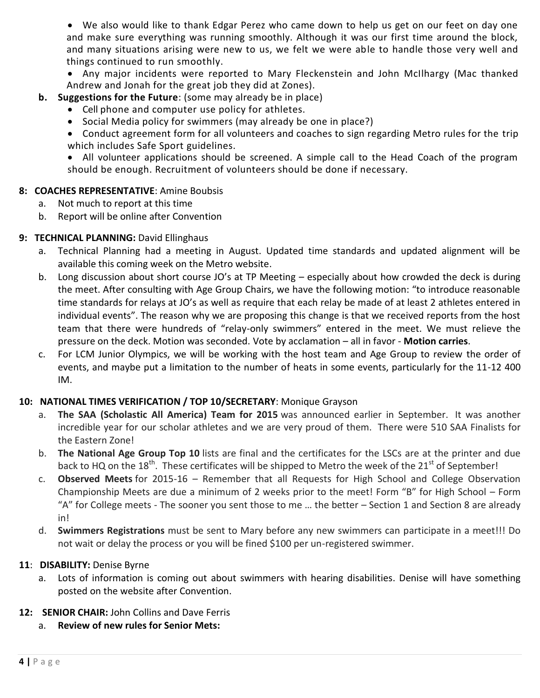We also would like to thank Edgar Perez who came down to help us get on our feet on day one and make sure everything was running smoothly. Although it was our first time around the block, and many situations arising were new to us, we felt we were able to handle those very well and things continued to run smoothly.

 Any major incidents were reported to Mary Fleckenstein and John McIlhargy (Mac thanked Andrew and Jonah for the great job they did at Zones).

## **b. Suggestions for the Future**: (some may already be in place)

- Cell phone and computer use policy for athletes.
- Social Media policy for swimmers (may already be one in place?)
- Conduct agreement form for all volunteers and coaches to sign regarding Metro rules for the trip which includes Safe Sport guidelines.

 All volunteer applications should be screened. A simple call to the Head Coach of the program should be enough. Recruitment of volunteers should be done if necessary.

#### **8: COACHES REPRESENTATIVE**: Amine Boubsis

- a. Not much to report at this time
- b. Report will be online after Convention

#### **9: TECHNICAL PLANNING:** David Ellinghaus

- a. Technical Planning had a meeting in August. Updated time standards and updated alignment will be available this coming week on the Metro website.
- b. Long discussion about short course JO's at TP Meeting especially about how crowded the deck is during the meet. After consulting with Age Group Chairs, we have the following motion: "to introduce reasonable time standards for relays at JO's as well as require that each relay be made of at least 2 athletes entered in individual events". The reason why we are proposing this change is that we received reports from the host team that there were hundreds of "relay-only swimmers" entered in the meet. We must relieve the pressure on the deck. Motion was seconded. Vote by acclamation – all in favor - **Motion carries**.
- c. For LCM Junior Olympics, we will be working with the host team and Age Group to review the order of events, and maybe put a limitation to the number of heats in some events, particularly for the 11-12 400 IM.

#### **10: NATIONAL TIMES VERIFICATION / TOP 10/SECRETARY**: Monique Grayson

- a. **The SAA (Scholastic All America) Team for 2015** was announced earlier in September. It was another incredible year for our scholar athletes and we are very proud of them. There were 510 SAA Finalists for the Eastern Zone!
- b. **The National Age Group Top 10** lists are final and the certificates for the LSCs are at the printer and due back to HQ on the 18<sup>th</sup>. These certificates will be shipped to Metro the week of the 21<sup>st</sup> of September!
- c. **Observed Meets** for 2015-16 Remember that all Requests for High School and College Observation Championship Meets are due a minimum of 2 weeks prior to the meet! Form "B" for High School – Form "A" for College meets - The sooner you sent those to me … the better – Section 1 and Section 8 are already in!
- d. **Swimmers Registrations** must be sent to Mary before any new swimmers can participate in a meet!!! Do not wait or delay the process or you will be fined \$100 per un-registered swimmer.

#### **11**: **DISABILITY:** Denise Byrne

a. Lots of information is coming out about swimmers with hearing disabilities. Denise will have something posted on the website after Convention.

#### **12: SENIOR CHAIR:** John Collins and Dave Ferris

a. **Review of new rules for Senior Mets:**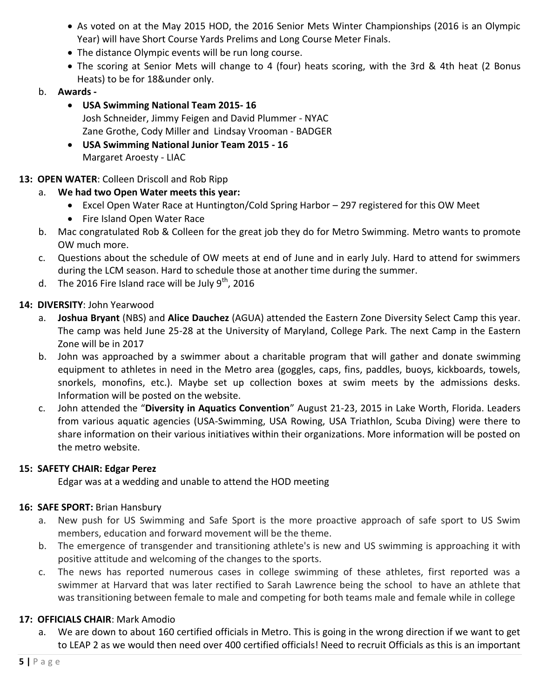- As voted on at the May 2015 HOD, the 2016 Senior Mets Winter Championships (2016 is an Olympic Year) will have Short Course Yards Prelims and Long Course Meter Finals.
- The distance Olympic events will be run long course.
- The scoring at Senior Mets will change to 4 (four) heats scoring, with the 3rd & 4th heat (2 Bonus Heats) to be for 18&under only.
- b. **Awards -**
	- **USA Swimming National Team 2015- 16** Josh Schneider, Jimmy Feigen and David Plummer - NYAC Zane Grothe, Cody Miller and Lindsay Vrooman - BADGER
	- **USA Swimming National Junior Team 2015 - 16** Margaret Aroesty - LIAC

# **13: OPEN WATER**: Colleen Driscoll and Rob Ripp

- a. **We had two Open Water meets this year:** 
	- Excel Open Water Race at Huntington/Cold Spring Harbor 297 registered for this OW Meet
	- Fire Island Open Water Race
- b. Mac congratulated Rob & Colleen for the great job they do for Metro Swimming. Metro wants to promote OW much more.
- c. Questions about the schedule of OW meets at end of June and in early July. Hard to attend for swimmers during the LCM season. Hard to schedule those at another time during the summer.
- d. The 2016 Fire Island race will be July  $9^{th}$ , 2016

## **14: DIVERSITY**: John Yearwood

- a. **Joshua Bryant** (NBS) and **Alice Dauchez** (AGUA) attended the Eastern Zone Diversity Select Camp this year. The camp was held June 25-28 at the University of Maryland, College Park. The next Camp in the Eastern Zone will be in 2017
- b. John was approached by a swimmer about a charitable program that will gather and donate swimming equipment to athletes in need in the Metro area (goggles, caps, fins, paddles, buoys, kickboards, towels, snorkels, monofins, etc.). Maybe set up collection boxes at swim meets by the admissions desks. Information will be posted on the website.
- c. John attended the "**Diversity in Aquatics Convention**" August 21-23, 2015 in Lake Worth, Florida. Leaders from various aquatic agencies (USA-Swimming, USA Rowing, USA Triathlon, Scuba Diving) were there to share information on their various initiatives within their organizations. More information will be posted on the metro website.

#### **15: SAFETY CHAIR: Edgar Perez**

Edgar was at a wedding and unable to attend the HOD meeting

#### **16: SAFE SPORT:** Brian Hansbury

- a. New push for US Swimming and Safe Sport is the more proactive approach of safe sport to US Swim members, education and forward movement will be the theme.
- b. The emergence of transgender and transitioning athlete's is new and US swimming is approaching it with positive attitude and welcoming of the changes to the sports.
- c. The news has reported numerous cases in college swimming of these athletes, first reported was a swimmer at Harvard that was later rectified to Sarah Lawrence being the school to have an athlete that was transitioning between female to male and competing for both teams male and female while in college

# **17: OFFICIALS CHAIR**: Mark Amodio

a. We are down to about 160 certified officials in Metro. This is going in the wrong direction if we want to get to LEAP 2 as we would then need over 400 certified officials! Need to recruit Officials as this is an important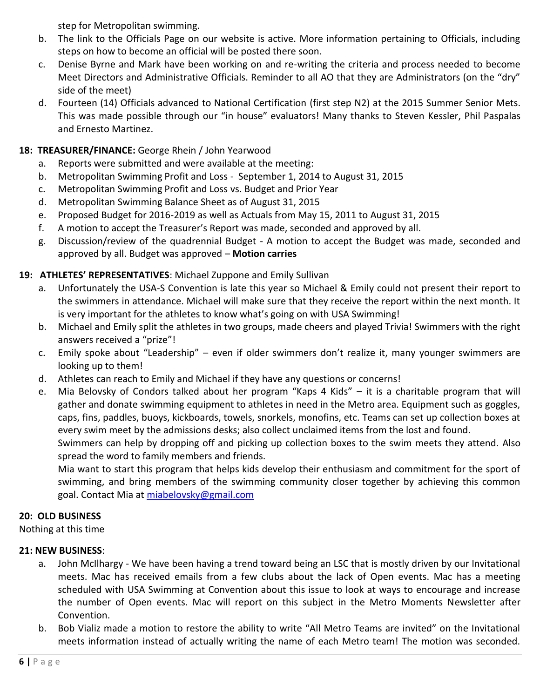step for Metropolitan swimming.

- b. The link to the Officials Page on our website is active. More information pertaining to Officials, including steps on how to become an official will be posted there soon.
- c. Denise Byrne and Mark have been working on and re-writing the criteria and process needed to become Meet Directors and Administrative Officials. Reminder to all AO that they are Administrators (on the "dry" side of the meet)
- d. Fourteen (14) Officials advanced to National Certification (first step N2) at the 2015 Summer Senior Mets. This was made possible through our "in house" evaluators! Many thanks to Steven Kessler, Phil Paspalas and Ernesto Martinez.

# **18: TREASURER/FINANCE:** George Rhein / John Yearwood

- a. Reports were submitted and were available at the meeting:
- b. Metropolitan Swimming Profit and Loss September 1, 2014 to August 31, 2015
- c. Metropolitan Swimming Profit and Loss vs. Budget and Prior Year
- d. Metropolitan Swimming Balance Sheet as of August 31, 2015
- e. Proposed Budget for 2016-2019 as well as Actuals from May 15, 2011 to August 31, 2015
- f. A motion to accept the Treasurer's Report was made, seconded and approved by all.
- g. Discussion/review of the quadrennial Budget A motion to accept the Budget was made, seconded and approved by all. Budget was approved – **Motion carries**

# **19: ATHLETES' REPRESENTATIVES**: Michael Zuppone and Emily Sullivan

- a. Unfortunately the USA-S Convention is late this year so Michael & Emily could not present their report to the swimmers in attendance. Michael will make sure that they receive the report within the next month. It is very important for the athletes to know what's going on with USA Swimming!
- b. Michael and Emily split the athletes in two groups, made cheers and played Trivia! Swimmers with the right answers received a "prize"!
- c. Emily spoke about "Leadership" even if older swimmers don't realize it, many younger swimmers are looking up to them!
- d. Athletes can reach to Emily and Michael if they have any questions or concerns!
- e. Mia Belovsky of Condors talked about her program "Kaps 4 Kids" it is a charitable program that will gather and donate swimming equipment to athletes in need in the Metro area. Equipment such as goggles, caps, fins, paddles, buoys, kickboards, towels, snorkels, monofins, etc. Teams can set up collection boxes at every swim meet by the admissions desks; also collect unclaimed items from the lost and found.

Swimmers can help by dropping off and picking up collection boxes to the swim meets they attend. Also spread the word to family members and friends.

Mia want to start this program that helps kids develop their enthusiasm and commitment for the sport of swimming, and bring members of the swimming community closer together by achieving this common goal. Contact Mia at [miabelovsky@gmail.com](mailto:miabelovsky@gmail.com)

# **20: OLD BUSINESS**

Nothing at this time

#### **21: NEW BUSINESS**:

- a. John McIlhargy We have been having a trend toward being an LSC that is mostly driven by our Invitational meets. Mac has received emails from a few clubs about the lack of Open events. Mac has a meeting scheduled with USA Swimming at Convention about this issue to look at ways to encourage and increase the number of Open events. Mac will report on this subject in the Metro Moments Newsletter after Convention.
- b. Bob Vializ made a motion to restore the ability to write "All Metro Teams are invited" on the Invitational meets information instead of actually writing the name of each Metro team! The motion was seconded.